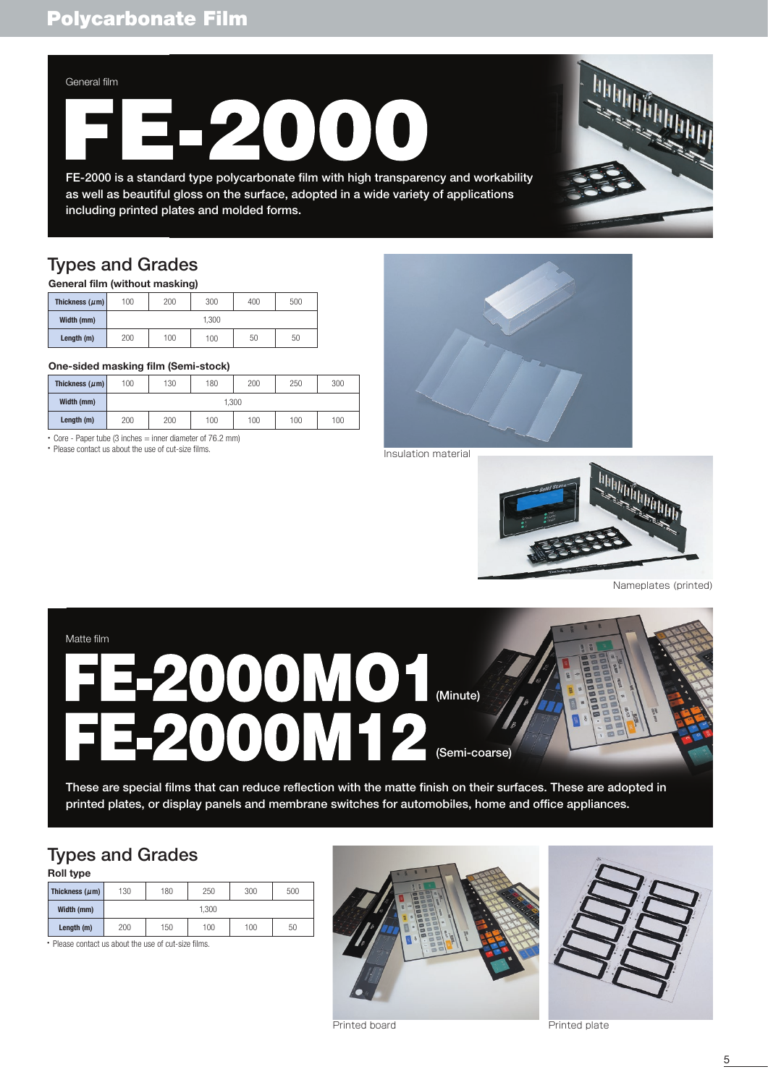### General film

FE-2000 is a standard type polycarbonate film with high transparency and workability as well as beautiful gloss on the surface, adopted in a wide variety of applications including printed plates and molded forms.

## Types and Grades

| General film (without masking) |       |     |     |     |     |  |  |
|--------------------------------|-------|-----|-----|-----|-----|--|--|
| Thickness ( $\mu$ m)           | 100   | 200 | 300 | 400 | 500 |  |  |
| Width (mm)                     | 1.300 |     |     |     |     |  |  |
| Length (m)                     | 200   | 100 | 100 | 50  | 50  |  |  |

### **One-sided masking film (Semi-stock)**

| Thickness ( $\mu$ m) | 100   | 130 | 180 | 200 | 250 | 300 |
|----------------------|-------|-----|-----|-----|-----|-----|
| Width (mm)           | 1.300 |     |     |     |     |     |
| Length (m)           | 200   | 200 | 100 | 100 | 100 | 100 |

・Core - Paper tube (3 inches = inner diameter of 76.2 mm)

・Please contact us about the use of cut-size films.



Insulation material



Nameplates (printed)

# 2000MO1 Matte film



These are special films that can reduce reflection with the matte finish on their surfaces. These are adopted in printed plates, or display panels and membrane switches for automobiles, home and office appliances.

## Types and Grades

| Roll type                                            |       |     |     |     |     |  |
|------------------------------------------------------|-------|-----|-----|-----|-----|--|
| Thickness $(\mu m)$                                  | 130   | 180 | 250 | 300 | 500 |  |
| Width (mm)                                           | 1.300 |     |     |     |     |  |
| Length (m)                                           | 200   | 150 | 100 | 100 | 50  |  |
| • Please contact us about the use of cut-size films. |       |     |     |     |     |  |



Printed board **Printed plate**